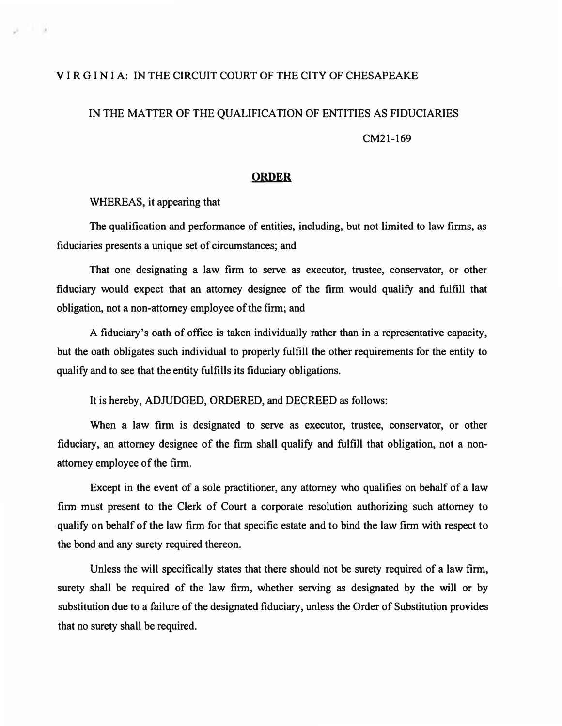## **V I RGI N I A: IN THE CIRCUIT COURT OF THE CITY OF CHESAPEAKE**

## **IN THE MATTER OF THE QUALIFICATION OF ENTITIES AS FIDUCIARIES**

**CM21-169** 

## **ORDER**

**WHEREAS, it appearing that** 

ta in the

**The qualification and performance of entities, including, but not limited to law firms, as fiduciaries presents a unique set of circumstances; and** 

**That one designating a law firm to serve as executor, trustee, conservator, or other fiduciary would expect that an attorney designee of the firm would qualify and fulfill that obligation, not a non-attorney employee of the firm; and** 

**A fiduciary's oath of office is taken individually rather than in a representative capacity, but the oath obligates such individual to properly fulfill the other requirements for the entity to qualify and to see that the entity fulfills its fiduciary obligations.** 

**It is hereby, ADJUDGED, ORDERED, and DECREED as follows:** 

**When a law firm is designated to serve as executor, trustee, conservator, or other fiduciary, an attorney designee of the firm shall qualify and fulfill that obligation, not a nonattorney employee of the firm.** 

**Except in the event of a sole practitioner, any attorney who qualifies on behalf of a law firm must present to the Clerk of Court a corporate resolution authorizing such attorney to qualify on behalf of the law firm for that specific estate and to bind the law firm with respect to the bond and any surety required thereon.** 

**Unless the will specifically states that there should not be surety required of a law firm, surety shall be required of the law firm, whether serving as designated by the will or by substitution due to a failure of the designated fiduciary, unless the Order of Substitution provides that no surety shall be required.**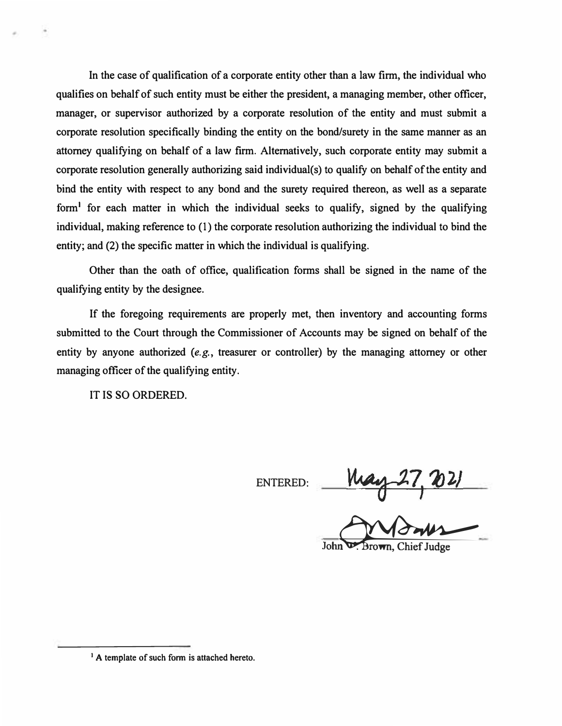**In the case of qualification of a corporate entity other than a law firm, the individual who qualifies on behalf of such entity must be either the president, a managing member, other officer, manager, or supervisor authorized by a corporate resolution of the entity and must submit a corporate resolution specifically binding the entity on the bond/surety in the same manner as an attorney qualifying on behalf of a law firm. Alternatively, such corporate entity may submit a corporate resolution generally authorizing said individual(s) to qualify on behalf of the entity and bind the entity with respect to any bond and the surety required thereon, as well as a separate form<sup>1</sup>for each matter in which the individual seeks to qualify, signed by the qualifying individual, making reference to (1) the corporate resolution authorizing the individual to bind the entity; and (2) the specific matter in which the individual is qualifying.** 

**Other than the oath of office, qualification forms shall be signed in the name of the qualifying entity by the designee.** 

**If the foregoing requirements are properly met, then inventory and accounting forms submitted to the Court through the Commissioner of Accounts may be signed on behalf of the entity by anyone authorized** *(e.g.,* **treasurer or controller) by the managing attorney or other managing officer of the qualifying entity.** 

**IT IS SO ORDERED.** 

**ENTERED:** 

 $\frac{May-27,021}{1}$ 

John **D.** Brown, Chief Judge

<sup>&</sup>lt;sup>1</sup> A template of such form is attached hereto.